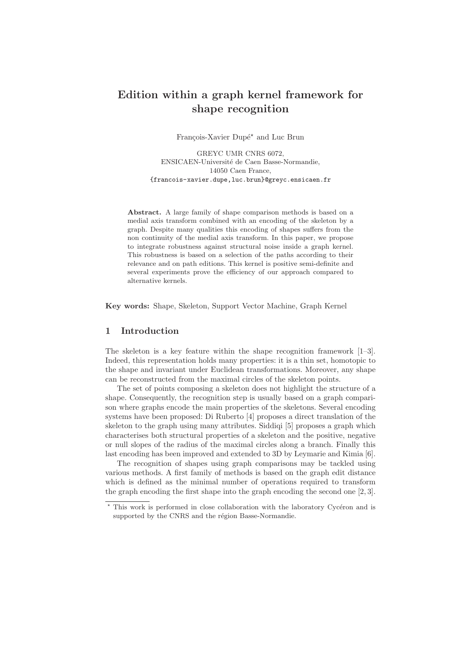# Edition within a graph kernel framework for shape recognition

François-Xavier Dupé<sup>\*</sup> and Luc Brun

GREYC UMR CNRS 6072, ENSICAEN-Université de Caen Basse-Normandie, 14050 Caen France, {francois-xavier.dupe,luc.brun}@greyc.ensicaen.fr

Abstract. A large family of shape comparison methods is based on a medial axis transform combined with an encoding of the skeleton by a graph. Despite many qualities this encoding of shapes suffers from the non continuity of the medial axis transform. In this paper, we propose to integrate robustness against structural noise inside a graph kernel. This robustness is based on a selection of the paths according to their relevance and on path editions. This kernel is positive semi-definite and several experiments prove the efficiency of our approach compared to alternative kernels.

Key words: Shape, Skeleton, Support Vector Machine, Graph Kernel

# 1 Introduction

The skeleton is a key feature within the shape recognition framework  $[1-3]$ . Indeed, this representation holds many properties: it is a thin set, homotopic to the shape and invariant under Euclidean transformations. Moreover, any shape can be reconstructed from the maximal circles of the skeleton points.

The set of points composing a skeleton does not highlight the structure of a shape. Consequently, the recognition step is usually based on a graph comparison where graphs encode the main properties of the skeletons. Several encoding systems have been proposed: Di Ruberto [4] proposes a direct translation of the skeleton to the graph using many attributes. Siddiqi [5] proposes a graph which characterises both structural properties of a skeleton and the positive, negative or null slopes of the radius of the maximal circles along a branch. Finally this last encoding has been improved and extended to 3D by Leymarie and Kimia [6].

The recognition of shapes using graph comparisons may be tackled using various methods. A first family of methods is based on the graph edit distance which is defined as the minimal number of operations required to transform the graph encoding the first shape into the graph encoding the second one [2, 3].

 $*$  This work is performed in close collaboration with the laboratory Cycéron and is supported by the CNRS and the région Basse-Normandie.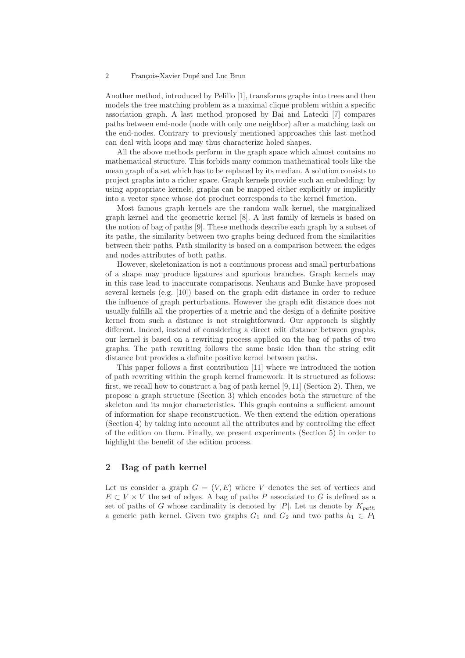Another method, introduced by Pelillo [1], transforms graphs into trees and then models the tree matching problem as a maximal clique problem within a specific association graph. A last method proposed by Bai and Latecki [7] compares paths between end-node (node with only one neighbor) after a matching task on the end-nodes. Contrary to previously mentioned approaches this last method can deal with loops and may thus characterize holed shapes.

All the above methods perform in the graph space which almost contains no mathematical structure. This forbids many common mathematical tools like the mean graph of a set which has to be replaced by its median. A solution consists to project graphs into a richer space. Graph kernels provide such an embedding: by using appropriate kernels, graphs can be mapped either explicitly or implicitly into a vector space whose dot product corresponds to the kernel function.

Most famous graph kernels are the random walk kernel, the marginalized graph kernel and the geometric kernel [8]. A last family of kernels is based on the notion of bag of paths [9]. These methods describe each graph by a subset of its paths, the similarity between two graphs being deduced from the similarities between their paths. Path similarity is based on a comparison between the edges and nodes attributes of both paths.

However, skeletonization is not a continuous process and small perturbations of a shape may produce ligatures and spurious branches. Graph kernels may in this case lead to inaccurate comparisons. Neuhaus and Bunke have proposed several kernels (e.g. [10]) based on the graph edit distance in order to reduce the influence of graph perturbations. However the graph edit distance does not usually fulfills all the properties of a metric and the design of a definite positive kernel from such a distance is not straightforward. Our approach is slightly different. Indeed, instead of considering a direct edit distance between graphs, our kernel is based on a rewriting process applied on the bag of paths of two graphs. The path rewriting follows the same basic idea than the string edit distance but provides a definite positive kernel between paths.

This paper follows a first contribution [11] where we introduced the notion of path rewriting within the graph kernel framework. It is structured as follows: first, we recall how to construct a bag of path kernel [9, 11] (Section 2). Then, we propose a graph structure (Section 3) which encodes both the structure of the skeleton and its major characteristics. This graph contains a sufficient amount of information for shape reconstruction. We then extend the edition operations (Section 4) by taking into account all the attributes and by controlling the effect of the edition on them. Finally, we present experiments (Section 5) in order to highlight the benefit of the edition process.

# 2 Bag of path kernel

Let us consider a graph  $G = (V, E)$  where V denotes the set of vertices and  $E \subset V \times V$  the set of edges. A bag of paths P associated to G is defined as a set of paths of G whose cardinality is denoted by  $|P|$ . Let us denote by  $K_{path}$ a generic path kernel. Given two graphs  $G_1$  and  $G_2$  and two paths  $h_1 \in P_1$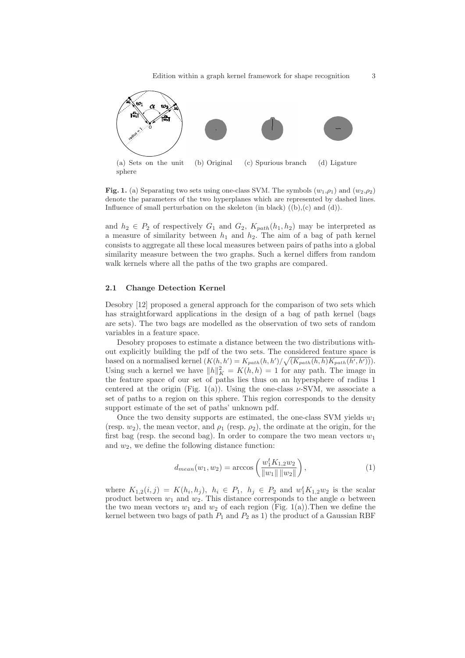

Fig. 1. (a) Separating two sets using one-class SVM. The symbols  $(w_1,\rho_1)$  and  $(w_2,\rho_2)$ denote the parameters of the two hyperplanes which are represented by dashed lines. Influence of small perturbation on the skeleton (in black)  $((b),(c)$  and  $(d))$ .

and  $h_2 \in P_2$  of respectively  $G_1$  and  $G_2$ ,  $K_{path}(h_1,h_2)$  may be interpreted as a measure of similarity between  $h_1$  and  $h_2$ . The aim of a bag of path kernel consists to aggregate all these local measures between pairs of paths into a global similarity measure between the two graphs. Such a kernel differs from random walk kernels where all the paths of the two graphs are compared.

#### 2.1 Change Detection Kernel

Desobry [12] proposed a general approach for the comparison of two sets which has straightforward applications in the design of a bag of path kernel (bags are sets). The two bags are modelled as the observation of two sets of random variables in a feature space.

Desobry proposes to estimate a distance between the two distributions without explicitly building the pdf of the two sets. The considered feature space is based on a normalised kernel  $(K(h, h') = K_{path}(h, h') / \sqrt{(K_{path}(h, h) K_{path}(h', h'))}).$ Using such a kernel we have  $||h||_K^2 = K(h,h) = 1$  for any path. The image in the feature space of our set of paths lies thus on an hypersphere of radius 1 centered at the origin (Fig. 1(a)). Using the one-class  $\nu$ -SVM, we associate a set of paths to a region on this sphere. This region corresponds to the density support estimate of the set of paths' unknown pdf.

Once the two density supports are estimated, the one-class SVM yields  $w_1$ (resp.  $w_2$ ), the mean vector, and  $\rho_1$  (resp.  $\rho_2$ ), the ordinate at the origin, for the first bag (resp. the second bag). In order to compare the two mean vectors  $w_1$ and  $w_2$ , we define the following distance function:

$$
d_{mean}(w_1, w_2) = \arccos\left(\frac{w_1^t K_{1,2} w_2}{\|w_1\| \|w_2\|}\right),\tag{1}
$$

where  $K_{1,2}(i,j) = K(h_i, h_j)$ ,  $h_i \in P_1$ ,  $h_j \in P_2$  and  $w_1^t K_{1,2} w_2$  is the scalar product between  $w_1$  and  $w_2$ . This distance corresponds to the angle  $\alpha$  between the two mean vectors  $w_1$  and  $w_2$  of each region (Fig. 1(a)). Then we define the kernel between two bags of path  $P_1$  and  $P_2$  as 1) the product of a Gaussian RBF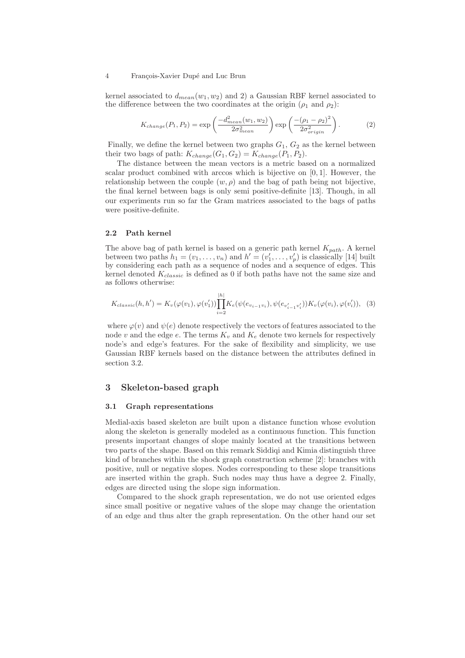kernel associated to  $d_{mean}(w_1, w_2)$  and 2) a Gaussian RBF kernel associated to the difference between the two coordinates at the origin  $(\rho_1$  and  $\rho_2)$ :

$$
K_{change}(P_1, P_2) = \exp\left(\frac{-d_{mean}^2(w_1, w_2)}{2\sigma_{mean}^2}\right) \exp\left(\frac{-(\rho_1 - \rho_2)^2}{2\sigma_{origin}^2}\right). \tag{2}
$$

Finally, we define the kernel between two graphs  $G_1, G_2$  as the kernel between their two bags of path:  $K_{change}(G_1, G_2) = K_{change}(P_1, P_2)$ .

The distance between the mean vectors is a metric based on a normalized scalar product combined with arccos which is bijective on  $[0, 1]$ . However, the relationship between the couple  $(w, \rho)$  and the bag of path being not bijective, the final kernel between bags is only semi positive-definite [13]. Though, in all our experiments run so far the Gram matrices associated to the bags of paths were positive-definite.

#### 2.2 Path kernel

The above bag of path kernel is based on a generic path kernel  $K_{path}$ . A kernel between two paths  $h_1 = (v_1, \ldots, v_n)$  and  $h' = (v'_1, \ldots, v'_p)$  is classically [14] built by considering each path as a sequence of nodes and a sequence of edges. This kernel denoted  $K_{classic}$  is defined as 0 if both paths have not the same size and as follows otherwise:

$$
K_{classic}(h, h') = K_v(\varphi(v_1), \varphi(v'_1)) \prod_{i=2}^{|h|} K_e(\psi(e_{v_{i-1}v_i}), \psi(e_{v'_{i-1}v'_i})) K_v(\varphi(v_i), \varphi(v'_i)), \quad (3)
$$

where  $\varphi(v)$  and  $\psi(e)$  denote respectively the vectors of features associated to the node v and the edge e. The terms  $K_v$  and  $K_e$  denote two kernels for respectively node's and edge's features. For the sake of flexibility and simplicity, we use Gaussian RBF kernels based on the distance between the attributes defined in section 3.2.

## 3 Skeleton-based graph

## 3.1 Graph representations

Medial-axis based skeleton are built upon a distance function whose evolution along the skeleton is generally modeled as a continuous function. This function presents important changes of slope mainly located at the transitions between two parts of the shape. Based on this remark Siddiqi and Kimia distinguish three kind of branches within the shock graph construction scheme [2]: branches with positive, null or negative slopes. Nodes corresponding to these slope transitions are inserted within the graph. Such nodes may thus have a degree 2. Finally, edges are directed using the slope sign information.

Compared to the shock graph representation, we do not use oriented edges since small positive or negative values of the slope may change the orientation of an edge and thus alter the graph representation. On the other hand our set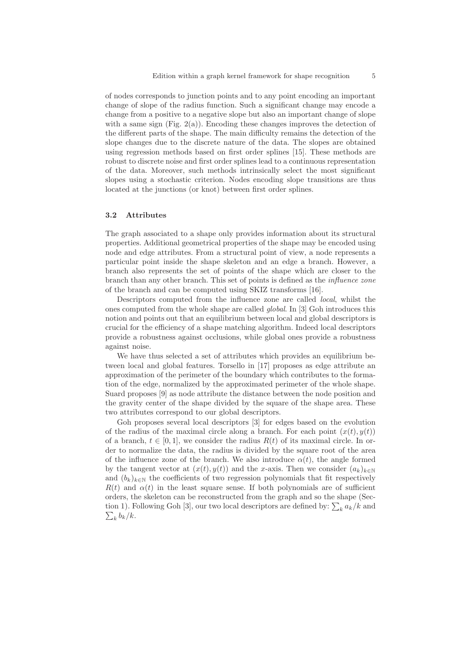of nodes corresponds to junction points and to any point encoding an important change of slope of the radius function. Such a significant change may encode a change from a positive to a negative slope but also an important change of slope with a same sign (Fig.  $2(a)$ ). Encoding these changes improves the detection of the different parts of the shape. The main difficulty remains the detection of the slope changes due to the discrete nature of the data. The slopes are obtained using regression methods based on first order splines [15]. These methods are robust to discrete noise and first order splines lead to a continuous representation of the data. Moreover, such methods intrinsically select the most significant slopes using a stochastic criterion. Nodes encoding slope transitions are thus located at the junctions (or knot) between first order splines.

#### 3.2 Attributes

The graph associated to a shape only provides information about its structural properties. Additional geometrical properties of the shape may be encoded using node and edge attributes. From a structural point of view, a node represents a particular point inside the shape skeleton and an edge a branch. However, a branch also represents the set of points of the shape which are closer to the branch than any other branch. This set of points is defined as the influence zone of the branch and can be computed using SKIZ transforms [16].

Descriptors computed from the influence zone are called local, whilst the ones computed from the whole shape are called global. In [3] Goh introduces this notion and points out that an equilibrium between local and global descriptors is crucial for the efficiency of a shape matching algorithm. Indeed local descriptors provide a robustness against occlusions, while global ones provide a robustness against noise.

We have thus selected a set of attributes which provides an equilibrium between local and global features. Torsello in [17] proposes as edge attribute an approximation of the perimeter of the boundary which contributes to the formation of the edge, normalized by the approximated perimeter of the whole shape. Suard proposes [9] as node attribute the distance between the node position and the gravity center of the shape divided by the square of the shape area. These two attributes correspond to our global descriptors.

Goh proposes several local descriptors [3] for edges based on the evolution of the radius of the maximal circle along a branch. For each point  $(x(t),y(t))$ of a branch,  $t \in [0, 1]$ , we consider the radius  $R(t)$  of its maximal circle. In order to normalize the data, the radius is divided by the square root of the area of the influence zone of the branch. We also introduce  $\alpha(t)$ , the angle formed by the tangent vector at  $(x(t),y(t))$  and the x-axis. Then we consider  $(a_k)_{k\in\mathbb{N}}$ and  $(b_k)_{k\in\mathbb{N}}$  the coefficients of two regression polynomials that fit respectively  $R(t)$  and  $\alpha(t)$  in the least square sense. If both polynomials are of sufficient orders, the skeleton can be reconstructed from the graph and so the shape (Section 1). Following Goh [3], our two local descriptors are defined by:  $\sum_k a_k/k$  and  $\sum_k b_k/k$ .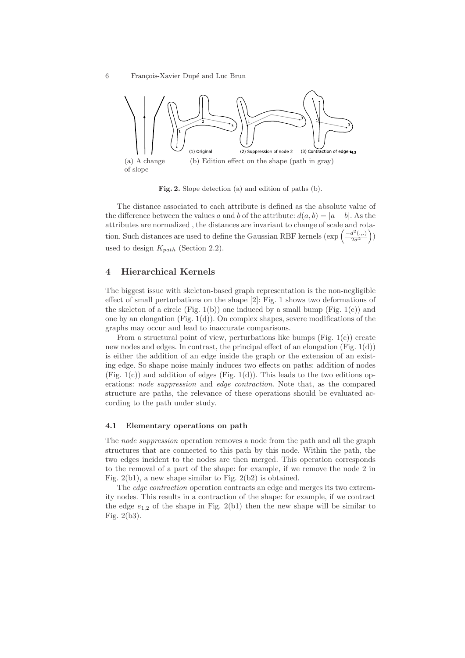

Fig. 2. Slope detection (a) and edition of paths (b).

The distance associated to each attribute is defined as the absolute value of the difference between the values a and b of the attribute:  $d(a, b) = |a - b|$ . As the attributes are normalized , the distances are invariant to change of scale and rotation. Such distances are used to define the Gaussian RBF kernels  $(\exp\left(\frac{-d^2(...)}{2\sigma^2}\right))$ used to design  $K_{path}$  (Section 2.2).

# 4 Hierarchical Kernels

The biggest issue with skeleton-based graph representation is the non-negligible effect of small perturbations on the shape [2]: Fig. 1 shows two deformations of the skeleton of a circle (Fig. 1(b)) one induced by a small bump (Fig. 1(c)) and one by an elongation (Fig. 1(d)). On complex shapes, severe modifications of the graphs may occur and lead to inaccurate comparisons.

From a structural point of view, perturbations like bumps (Fig.  $1(c)$ ) create new nodes and edges. In contrast, the principal effect of an elongation  $(Fig. 1(d))$ is either the addition of an edge inside the graph or the extension of an existing edge. So shape noise mainly induces two effects on paths: addition of nodes (Fig.  $1(c)$ ) and addition of edges (Fig.  $1(d)$ ). This leads to the two editions operations: node suppression and edge contraction. Note that, as the compared structure are paths, the relevance of these operations should be evaluated according to the path under study.

## 4.1 Elementary operations on path

The node suppression operation removes a node from the path and all the graph structures that are connected to this path by this node. Within the path, the two edges incident to the nodes are then merged. This operation corresponds to the removal of a part of the shape: for example, if we remove the node 2 in Fig. 2(b1), a new shape similar to Fig. 2(b2) is obtained.

The *edge contraction* operation contracts an edge and merges its two extremity nodes. This results in a contraction of the shape: for example, if we contract the edge  $e_{1,2}$  of the shape in Fig. 2(b1) then the new shape will be similar to Fig. 2(b3).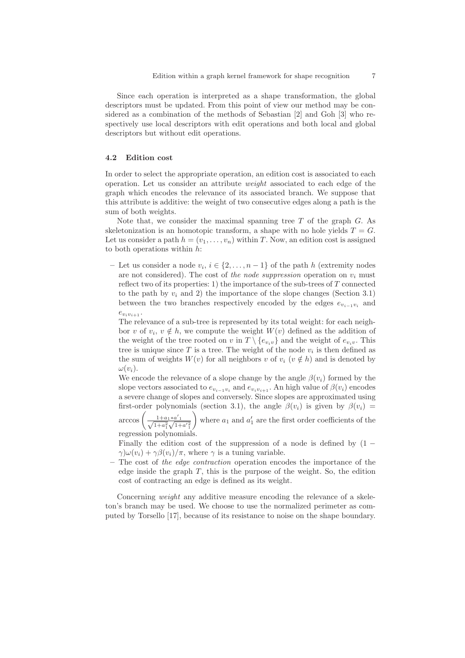Since each operation is interpreted as a shape transformation, the global descriptors must be updated. From this point of view our method may be considered as a combination of the methods of Sebastian [2] and Goh [3] who respectively use local descriptors with edit operations and both local and global descriptors but without edit operations.

## 4.2 Edition cost

In order to select the appropriate operation, an edition cost is associated to each operation. Let us consider an attribute weight associated to each edge of the graph which encodes the relevance of its associated branch. We suppose that this attribute is additive: the weight of two consecutive edges along a path is the sum of both weights.

Note that, we consider the maximal spanning tree  $T$  of the graph  $G$ . As skeletonization is an homotopic transform, a shape with no hole yields  $T = G$ . Let us consider a path  $h = (v_1, \ldots, v_n)$  within T. Now, an edition cost is assigned to both operations within h:

– Let us consider a node  $v_i$ ,  $i \in \{2, ..., n-1\}$  of the path h (extremity nodes are not considered). The cost of the node suppression operation on  $v_i$  must reflect two of its properties: 1) the importance of the sub-trees of  $T$  connected to the path by  $v_i$  and 2) the importance of the slope changes (Section 3.1) between the two branches respectively encoded by the edges  $e_{v_{i-1}v_i}$  and  $e_{v_i v_{i+1}}$ .

The relevance of a sub-tree is represented by its total weight: for each neighbor v of  $v_i, v \notin h$ , we compute the weight  $W(v)$  defined as the addition of the weight of the tree rooted on v in  $T \setminus \{e_{v_i v}\}\$  and the weight of  $e_{v_i v}$ . This tree is unique since  $T$  is a tree. The weight of the node  $v_i$  is then defined as the sum of weights  $W(v)$  for all neighbors v of  $v_i$  ( $v \notin h$ ) and is denoted by  $\omega(v_i)$ .

We encode the relevance of a slope change by the angle  $\beta(v_i)$  formed by the slope vectors associated to  $e_{v_{i-1}v_i}$  and  $e_{v_iv_{i+1}}$ . An high value of  $\beta(v_i)$  encodes a severe change of slopes and conversely. Since slopes are approximated using first-order polynomials (section 3.1), the angle  $\beta(v_i)$  is given by  $\beta(v_i)$  =

arccos  $\left( \frac{1+a_1*a'_1}{\sqrt{1+a_1^2}\sqrt{1+a_1^{'2}}} \right)$ where  $a_1$  and  $a'_1$  are the first order coefficients of the regression polynomials.

Finally the edition cost of the suppression of a node is defined by  $(1 \gamma \psi(v_i) + \gamma \beta(v_i) / \pi$ , where  $\gamma$  is a tuning variable.

– The cost of the edge contraction operation encodes the importance of the edge inside the graph  $T$ , this is the purpose of the weight. So, the edition cost of contracting an edge is defined as its weight.

Concerning weight any additive measure encoding the relevance of a skeleton's branch may be used. We choose to use the normalized perimeter as computed by Torsello [17], because of its resistance to noise on the shape boundary.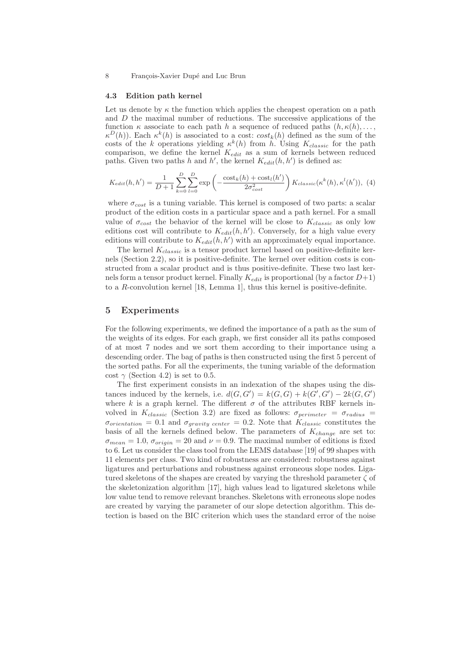#### 4.3 Edition path kernel

Let us denote by  $\kappa$  the function which applies the cheapest operation on a path and D the maximal number of reductions. The successive applications of the function  $\kappa$  associate to each path h a sequence of reduced paths  $(h, \kappa(h), \ldots,$  $\kappa^{D}(h)$ ). Each  $\kappa^{k}(h)$  is associated to a cost:  $cost_{k}(h)$  defined as the sum of the costs of the k operations yielding  $\kappa^k(h)$  from h. Using  $K_{classic}$  for the path comparison, we define the kernel  $K_{edit}$  as a sum of kernels between reduced paths. Given two paths h and h', the kernel  $K_{edit}(h, h')$  is defined as:

$$
K_{edit}(h, h') = \frac{1}{D+1} \sum_{k=0}^{D} \sum_{l=0}^{D} \exp\left(-\frac{\text{cost}_k(h) + \text{cost}_l(h')}{2\sigma_{cost}^2}\right) K_{classic}(\kappa^k(h), \kappa^l(h')), \tag{4}
$$

where  $\sigma_{cost}$  is a tuning variable. This kernel is composed of two parts: a scalar product of the edition costs in a particular space and a path kernel. For a small value of  $\sigma_{cost}$  the behavior of the kernel will be close to  $K_{classic}$  as only low editions cost will contribute to  $K_{edit}(h, h')$ . Conversely, for a high value every editions will contribute to  $K_{edit}(h, h')$  with an approximately equal importance.

The kernel  $K_{classic}$  is a tensor product kernel based on positive-definite kernels (Section 2.2), so it is positive-definite. The kernel over edition costs is constructed from a scalar product and is thus positive-definite. These two last kernels form a tensor product kernel. Finally  $K_{edit}$  is proportional (by a factor  $D+1$ ) to a  $R$ -convolution kernel [18, Lemma 1], thus this kernel is positive-definite.

## 5 Experiments

For the following experiments, we defined the importance of a path as the sum of the weights of its edges. For each graph, we first consider all its paths composed of at most 7 nodes and we sort them according to their importance using a descending order. The bag of paths is then constructed using the first 5 percent of the sorted paths. For all the experiments, the tuning variable of the deformation cost  $\gamma$  (Section 4.2) is set to 0.5.

The first experiment consists in an indexation of the shapes using the distances induced by the kernels, i.e.  $d(G, G') = k(G, G) + k(G', G') - 2k(G, G')$ where k is a graph kernel. The different  $\sigma$  of the attributes RBF kernels involved in  $K_{classic}$  (Section 3.2) are fixed as follows:  $\sigma_{perimeter} = \sigma_{radius}$  $\sigma_{orientation} = 0.1$  and  $\sigma_{gravity\ center} = 0.2$ . Note that  $K_{classification}$  constitutes the basis of all the kernels defined below. The parameters of  $K_{change}$  are set to:  $\sigma_{mean} = 1.0$ ,  $\sigma_{origin} = 20$  and  $\nu = 0.9$ . The maximal number of editions is fixed to 6. Let us consider the class tool from the LEMS database [19] of 99 shapes with 11 elements per class. Two kind of robustness are considered: robustness against ligatures and perturbations and robustness against erroneous slope nodes. Ligatured skeletons of the shapes are created by varying the threshold parameter  $\zeta$  of the skeletonization algorithm [17], high values lead to ligatured skeletons while low value tend to remove relevant branches. Skeletons with erroneous slope nodes are created by varying the parameter of our slope detection algorithm. This detection is based on the BIC criterion which uses the standard error of the noise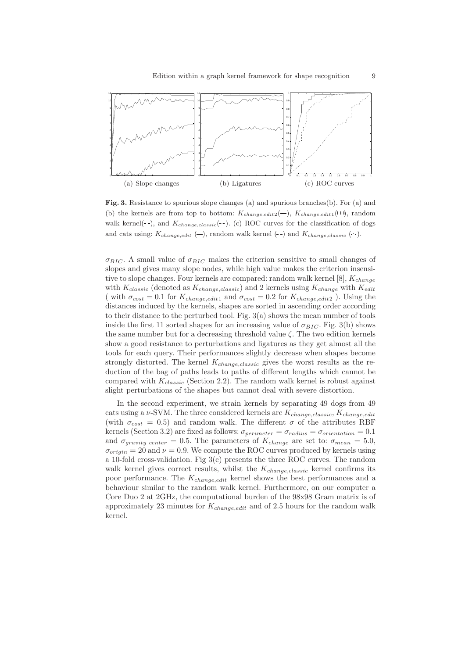

Fig. 3. Resistance to spurious slope changes (a) and spurious branches(b). For (a) and (b) the kernels are from top to bottom:  $K_{change, edit2}(-)$ ,  $K_{change, edit1}(11)$ , random walk kernel( $\text{-}$ ), and  $K_{change, classic}(\text{-})$ . (c) ROC curves for the classification of dogs and cats using:  $K_{change,edit}$  (-), random walk kernel (--) and  $K_{change, classic}$  (--).

 $\sigma_{BIC}$ . A small value of  $\sigma_{BIC}$  makes the criterion sensitive to small changes of slopes and gives many slope nodes, while high value makes the criterion insensitive to slope changes. Four kernels are compared: random walk kernel  $[8]$ ,  $K_{change}$ with  $K_{classic}$  (denoted as  $K_{change, classic}$ ) and 2 kernels using  $K_{change}$  with  $K_{edit}$ ( with  $\sigma_{cost} = 0.1$  for  $K_{change, edit1}$  and  $\sigma_{cost} = 0.2$  for  $K_{change, edit2}$ ). Using the distances induced by the kernels, shapes are sorted in ascending order according to their distance to the perturbed tool. Fig. 3(a) shows the mean number of tools inside the first 11 sorted shapes for an increasing value of  $\sigma_{BIC}$ . Fig. 3(b) shows the same number but for a decreasing threshold value  $\zeta$ . The two edition kernels show a good resistance to perturbations and ligatures as they get almost all the tools for each query. Their performances slightly decrease when shapes become strongly distorted. The kernel  $K_{change, classic}$  gives the worst results as the reduction of the bag of paths leads to paths of different lengths which cannot be compared with  $K_{classic}$  (Section 2.2). The random walk kernel is robust against slight perturbations of the shapes but cannot deal with severe distortion.

In the second experiment, we strain kernels by separating 49 dogs from 49 cats using a  $\nu$ -SVM. The three considered kernels are  $K_{change, classic}$ ,  $K_{change,edit}$ (with  $\sigma_{cost} = 0.5$ ) and random walk. The different  $\sigma$  of the attributes RBF kernels (Section 3.2) are fixed as follows:  $\sigma_{perimeter} = \sigma_{radius} = \sigma_{orientation} = 0.1$ and  $\sigma_{gravity\ center} = 0.5$ . The parameters of  $K_{change}$  are set to:  $\sigma_{mean} = 5.0$ ,  $\sigma_{origin} = 20$  and  $\nu = 0.9$ . We compute the ROC curves produced by kernels using a 10-fold cross-validation. Fig 3(c) presents the three ROC curves. The random walk kernel gives correct results, whilst the  $K_{change, classic}$  kernel confirms its poor performance. The  $K_{change, edit}$  kernel shows the best performances and a behaviour similar to the random walk kernel. Furthermore, on our computer a Core Duo 2 at 2GHz, the computational burden of the 98x98 Gram matrix is of approximately 23 minutes for  $K_{change, edit}$  and of 2.5 hours for the random walk kernel.